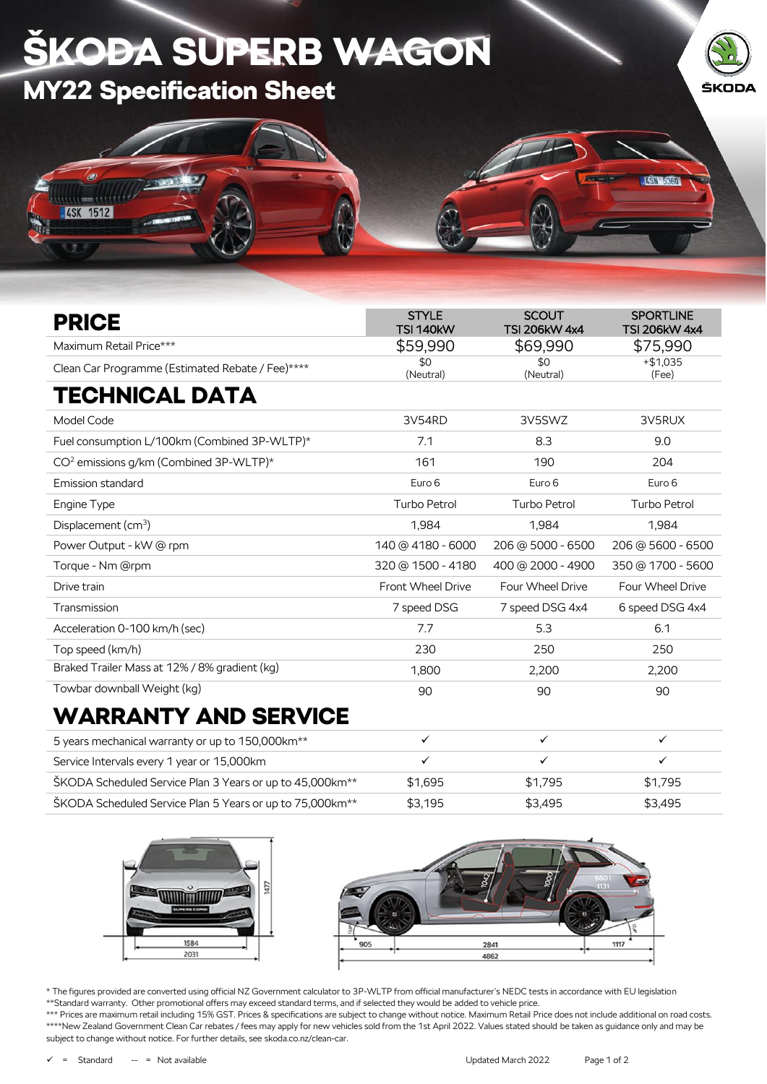## ŠKOĐA SUPERB WAGON MY22 Specification Sheet ŠKODA **LISN LEGEN**  $1111 - 1111$ **4SK 1512**

| <b>PRICE</b>                                       | <b>STYLE</b><br><b>SCOUT</b><br><b>TSI 140kW</b><br><b>TSI 206kW 4x4</b> |                     | <b>SPORTLINE</b><br><b>TSI 206kW 4x4</b> |  |
|----------------------------------------------------|--------------------------------------------------------------------------|---------------------|------------------------------------------|--|
| Maximum Retail Price***                            | \$59,990                                                                 | \$69,990            | \$75,990                                 |  |
| Clean Car Programme (Estimated Rebate / Fee)****   | \$0<br>(Neutral)                                                         | \$0<br>(Neutral)    | $+ $1.035$<br>(Fee)                      |  |
| <b>TECHNICAL DATA</b>                              |                                                                          |                     |                                          |  |
| Model Code                                         | 3V54RD                                                                   | 3V5SWZ              | 3V5RUX                                   |  |
| Fuel consumption L/100km (Combined 3P-WLTP)*       | 7.1                                                                      | 8.3                 | 9.0                                      |  |
| CO <sup>2</sup> emissions g/km (Combined 3P-WLTP)* | 161                                                                      | 190                 | 204                                      |  |
| Emission standard                                  | Euro 6                                                                   | Euro 6              | Euro 6                                   |  |
| Engine Type                                        | <b>Turbo Petrol</b>                                                      | <b>Turbo Petrol</b> | <b>Turbo Petrol</b>                      |  |
| Displacement (cm <sup>3</sup> )                    | 1.984                                                                    | 1.984               | 1,984                                    |  |
| Power Output - kW @ rpm                            | 140 @ 4180 - 6000                                                        | 206 @ 5000 - 6500   | 206 @ 5600 - 6500                        |  |
| Torque - Nm @rpm                                   | 320 @ 1500 - 4180                                                        | 400 @ 2000 - 4900   | 350 @ 1700 - 5600                        |  |
| Drive train                                        | <b>Front Wheel Drive</b>                                                 | Four Wheel Drive    | <b>Four Wheel Drive</b>                  |  |
| Transmission                                       | 7 speed DSG                                                              | 7 speed DSG 4x4     | 6 speed DSG 4x4                          |  |
| Acceleration 0-100 km/h (sec)                      | 7.7                                                                      | 5.3                 | 6.1                                      |  |
| Top speed (km/h)                                   | 230                                                                      | 250                 | 250                                      |  |
| Braked Trailer Mass at 12% / 8% gradient (kg)      | 1,800                                                                    | 2,200               | 2,200                                    |  |
| Towbar downball Weight (kg)                        | 90                                                                       | 90                  | 90                                       |  |
| <b>WARRANTY AND SERVICE</b>                        |                                                                          |                     |                                          |  |

| 5 years mechanical warranty or up to 150,000 km <sup>**</sup>        |         |         |         |
|----------------------------------------------------------------------|---------|---------|---------|
| Service Intervals every 1 year or 15,000 km                          |         |         |         |
| ŠKODA Scheduled Service Plan 3 Years or up to 45,000km <sup>**</sup> | \$1.695 | \$1.795 | \$1.795 |
| ŠKODA Scheduled Service Plan 5 Years or up to 75,000km <sup>**</sup> | \$3.195 | \$3.495 | \$3.495 |





\* The figures provided are converted using official NZ Government calculator to 3P-WLTP from official manufacturer's NEDC tests in accordance with EU legislation \*\*Standard warranty. Other promotional offers may exceed standard terms, and if selected they would be added to vehicle price.

\*\*\* Prices are maximum retail including 15% GST. Prices & specifications are subject to change without notice. Maximum Retail Price does not include additional on road costs. \*\*\*\*New Zealand Government Clean Car rebates / fees may apply for new vehicles sold from the 1st April 2022. Values stated should be taken as guidance only and may be subject to change without notice. For further details, see skoda.co.nz/clean-car.